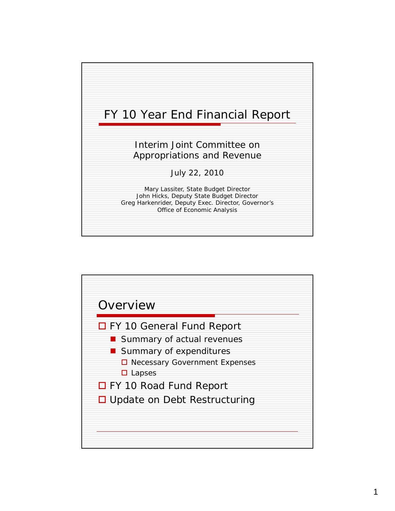

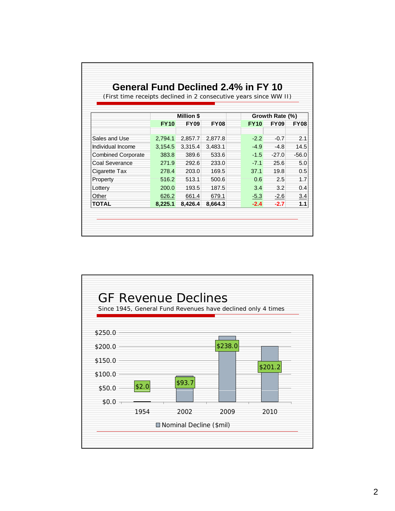|                                                                   | General Fund Declined 2.4% in FY 10 |                                  |             |             |                                |             |  |
|-------------------------------------------------------------------|-------------------------------------|----------------------------------|-------------|-------------|--------------------------------|-------------|--|
| (First time receipts declined in 2 consecutive years since WW II) |                                     |                                  |             |             |                                |             |  |
|                                                                   |                                     |                                  |             |             |                                |             |  |
|                                                                   | <b>FY10</b>                         | <b>Million \$</b><br><b>FY09</b> | <b>FY08</b> | <b>FY10</b> | Growth Rate (%)<br><b>FY09</b> | <b>FY08</b> |  |
|                                                                   |                                     |                                  |             |             |                                |             |  |
| Sales and Use                                                     | 2,794.1                             | 2,857.7                          | 2,877.8     | $-2.2$      | $-0.7$                         | 2.1         |  |
| Individual Income                                                 | 3,154.5                             | 3,315.4                          | 3,483.1     | $-4.9$      | -4.8                           | 14.5        |  |
| <b>Combined Corporate</b>                                         | 383.8                               | 389.6                            | 533.6       | $-1.5$      | $-27.0$                        | $-56.0$     |  |
| Coal Severance                                                    | 271.9                               | 292.6                            | 233.0       | $-7.1$      | 25.6                           | 5.0         |  |
| Cigarette Tax                                                     | 278.4                               | 203.0                            | 169.5       | 37.1        | 19.8                           | 0.5         |  |
| Property                                                          | 516.2                               | 513.1                            | 500.6       | 0.6         | 2.5                            | 1.7         |  |
| Lottery                                                           | 200.0                               | 193.5                            | 187.5       | 3.4         | 3.2                            | 0.4         |  |
| Other                                                             | 626.2                               | 661.4                            | 679.1       | $-5.3$      | $-2.6$                         | 3.4         |  |
| <b>TOTAL</b>                                                      | 8,225.1                             | 8,426.4                          | 8,664.3     | $-2.4$      | $-2.7$                         | 1.1         |  |

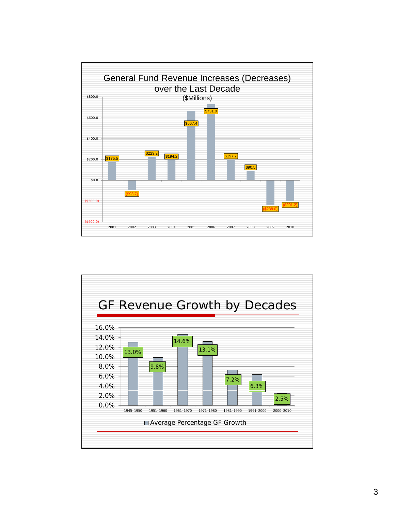

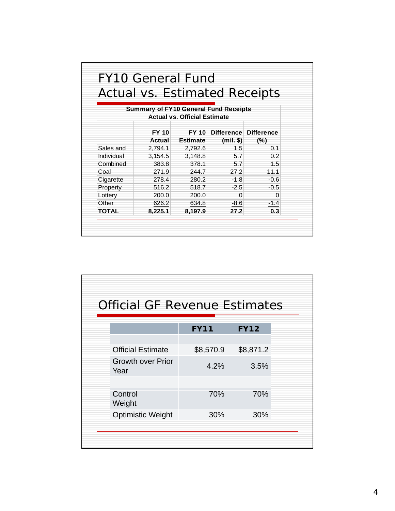|              |                                              |                                     |             | <b>Actual vs. Estimated Receipts</b> |
|--------------|----------------------------------------------|-------------------------------------|-------------|--------------------------------------|
|              | <b>Summary of FY10 General Fund Receipts</b> | <b>Actual vs. Official Estimate</b> |             |                                      |
|              | FY 10                                        | <b>FY 10</b>                        |             | Difference Difference                |
|              | Actual                                       | <b>Estimate</b>                     | $(mil.$ \$) | (%)                                  |
| Sales and    | 2,794.1                                      | 2,792.6                             | 1.5         | 0.1                                  |
| Individual   | 3,154.5                                      | 3,148.8                             | 5.7         | 0.2                                  |
| Combined     | 383.8                                        | 378.1                               | 5.7         | 1.5                                  |
| Coal         | 271.9                                        | 244.7                               | 27.2        | 11.1                                 |
| Cigarette    | 278.4                                        | 280.2                               | $-1.8$      | $-0.6$                               |
| Property     | 516.2                                        | 518.7                               | $-2.5$      | $-0.5$                               |
| Lottery      | 200.0                                        | 200.0                               | 0           | 0                                    |
| Other        | 626.2                                        | 634.8                               | $-8.6$      | $-1.4$                               |
| <b>TOTAL</b> | 8,225.1                                      | 8,197.9                             | 27.2        | 0.3                                  |

| <b>Official GF Revenue Estimates</b> |             |             |  |  |  |
|--------------------------------------|-------------|-------------|--|--|--|
|                                      | <b>FY11</b> | <b>FY12</b> |  |  |  |
| <b>Official Estimate</b>             | \$8,570.9   | \$8,871.2   |  |  |  |
| <b>Growth over Prior</b><br>Year     | 4.2%        | 3.5%        |  |  |  |
|                                      |             |             |  |  |  |
| Control<br>Weight                    | 70%         | 70%         |  |  |  |
| <b>Optimistic Weight</b>             | 30%         | 30%         |  |  |  |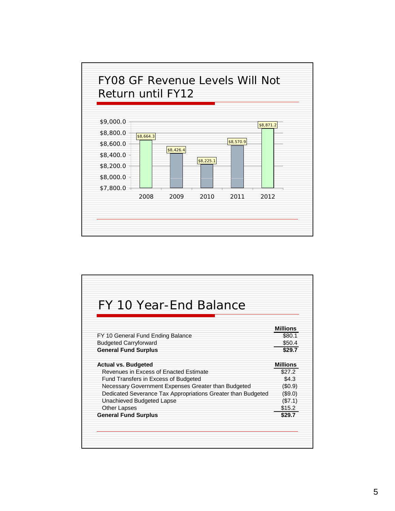

| FY 10 Year-End Balance                                       |                 |
|--------------------------------------------------------------|-----------------|
|                                                              | Millions        |
| FY 10 General Fund Ending Balance                            | \$80.1          |
| <b>Budgeted Carryforward</b>                                 | \$50.4          |
| <b>General Fund Surplus</b>                                  | \$29.7          |
| <b>Actual vs. Budgeted</b>                                   | <b>Millions</b> |
| Revenues in Excess of Enacted Estimate                       | \$27.2          |
| Fund Transfers in Excess of Budgeted                         | \$4.3           |
| Necessary Government Expenses Greater than Budgeted          | (S0.9)          |
| Dedicated Severance Tax Appropriations Greater than Budgeted | $(\$9.0)$       |
| Unachieved Budgeted Lapse                                    | (\$7.1)         |
| Other Lapses                                                 | \$15.2          |
| <b>General Fund Surplus</b>                                  | \$29.7          |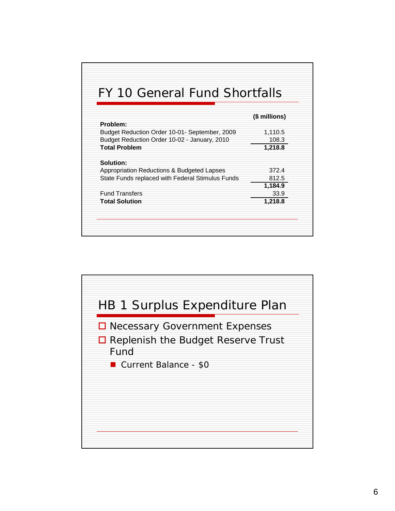| FY 10 General Fund Shortfalls                    |               |
|--------------------------------------------------|---------------|
|                                                  | (\$ millions) |
| Problem:                                         |               |
| Budget Reduction Order 10-01- September, 2009    | 1,110.5       |
| Budget Reduction Order 10-02 - January, 2010     | 108.3         |
| <b>Total Problem</b>                             | 1,218.8       |
| Solution:                                        |               |
| Appropriation Reductions & Budgeted Lapses       | 372.4         |
| State Funds replaced with Federal Stimulus Funds | 812.5         |
|                                                  | 1,184.9       |
| <b>Fund Transfers</b>                            | 33.9          |
| <b>Total Solution</b>                            | 1,218.8       |

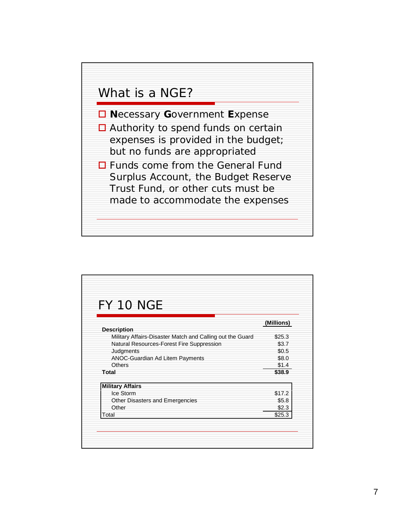

| <b>FY 10 NGE</b>                                          |                 |
|-----------------------------------------------------------|-----------------|
|                                                           | (Millions)      |
| <b>Description</b>                                        |                 |
| Military Affairs-Disaster Match and Calling out the Guard | \$25.3          |
| Natural Resources-Forest Fire Suppression                 | \$3.7           |
| Judgments                                                 | \$0.5           |
| ANOC-Guardian Ad Litem Payments                           | \$8.0           |
| <b>Others</b><br>Total                                    | \$1.4<br>\$38.9 |
|                                                           |                 |
| <b>Military Affairs</b>                                   |                 |
| Ice Storm                                                 | \$17.2          |
| Other Disasters and Emergencies                           | \$5.8           |
| Other                                                     | \$2.3           |
| Total                                                     | \$25.3          |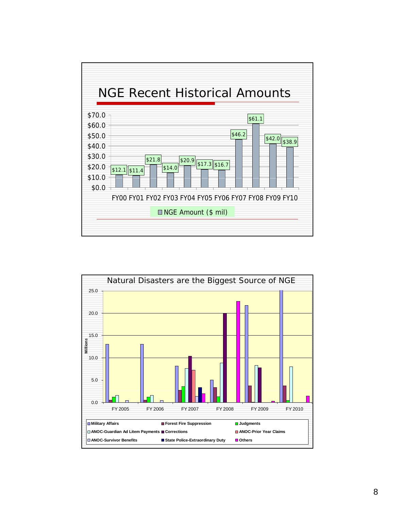

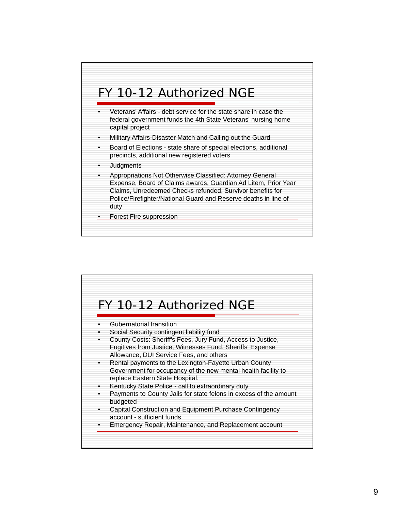

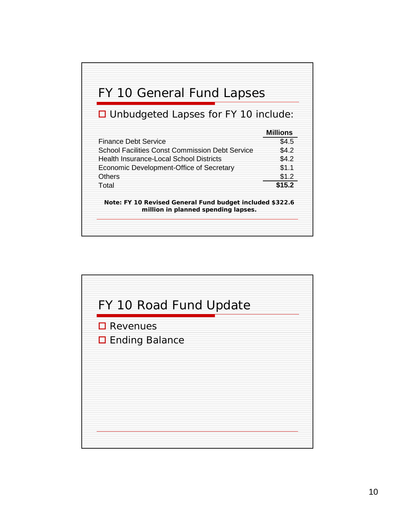

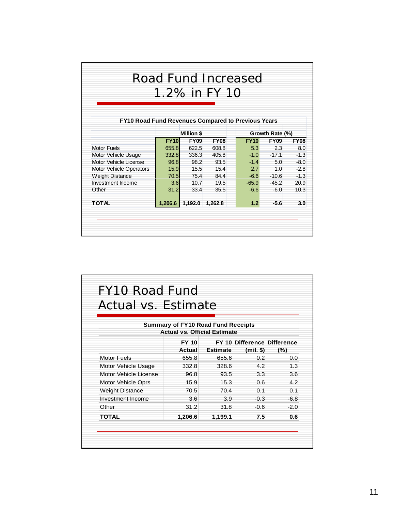|                                                           |             |                   | Road Fund Increased |             |                 |             |
|-----------------------------------------------------------|-------------|-------------------|---------------------|-------------|-----------------|-------------|
|                                                           |             |                   | 1.2% in FY 10       |             |                 |             |
|                                                           |             |                   |                     |             |                 |             |
|                                                           |             |                   |                     |             |                 |             |
| <b>FY10 Road Fund Revenues Compared to Previous Years</b> |             |                   |                     |             |                 |             |
|                                                           |             |                   |                     |             |                 |             |
|                                                           |             | <b>Million \$</b> |                     |             | Growth Rate (%) |             |
|                                                           | <b>FY10</b> | <b>FY09</b>       | <b>FY08</b>         | <b>FY10</b> | <b>FY09</b>     | <b>FY08</b> |
| Motor Fuels                                               | 655.8       | 622.5             | 608.8               | 5.3         | 2.3             | 8.0         |
| Motor Vehicle Usage                                       | 332.8       | 336.3             | 405.8               | $-1.0$      | $-17.1$         | $-1.3$      |
| Motor Vehicle License                                     | 96.8        | 98.2              | 93.5                | $-1.4$      | 5.0             | $-8.0$      |
| Motor Vehicle Operators                                   | 15.9        | 15.5              | 15.4                | 2.7         | 1.0             | $-2.8$      |
| Weight Distance                                           | 70.5        | 75.4              | 84.4                | $-6.6$      | $-10.6$         | $-1.3$      |
| Investment Income                                         | 3.6         | 10.7              | 19.5                | $-65.9$     | $-45.2$         | 20.9        |
| Other                                                     | 31.2        | 33.4              | 35.5                | $-6.6$      | $-6.0$          | 10.3        |
|                                                           | 1,206.6     | 1,192.0           | 1,262.8             | 1.2         | $-5.6$          | 3.0         |

| Actual vs. Estimate    |                                           |                 |                             |        |
|------------------------|-------------------------------------------|-----------------|-----------------------------|--------|
|                        | <b>Summary of FY10 Road Fund Receipts</b> |                 |                             |        |
|                        | <b>Actual vs. Official Estimate</b>       |                 |                             |        |
|                        | <b>FY 10</b>                              |                 | FY 10 Difference Difference |        |
|                        | Actual                                    | <b>Estimate</b> | $(mil.$ \$)                 | (%)    |
| <b>Motor Fuels</b>     | 655.8                                     | 655.6           | 0.2                         | 0.0    |
| Motor Vehicle Usage    | 332.8                                     | 328.6           | 4.2                         | 1.3    |
| Motor Vehicle License  | 96.8                                      | 93.5            | 3.3                         | 3.6    |
| Motor Vehicle Oprs     | 15.9                                      | 15.3            | 0.6                         | 4.2    |
| <b>Weight Distance</b> | 70.5                                      | 70.4            | 0.1                         | 0.1    |
| Investment Income      | 3.6                                       | 3.9             | $-0.3$                      | $-6.8$ |
| Other                  | 31.2                                      | 31.8            | -0.6                        | $-2.0$ |
| <b>TOTAL</b>           | 1,206.6                                   | 1,199.1         | 7.5                         | 0.6    |

7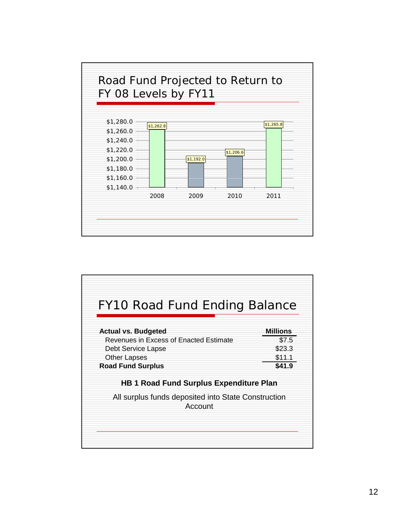

| FY10 Road Fund Ending Balance                                  |                 |
|----------------------------------------------------------------|-----------------|
| <b>Actual vs. Budgeted</b>                                     | <b>Millions</b> |
| Revenues in Excess of Enacted Estimate                         | \$7.5           |
| Debt Service Lapse                                             | \$23.3          |
| <b>Other Lapses</b>                                            | \$11.1          |
| <b>Road Fund Surplus</b>                                       | \$41.9          |
| <b>HB 1 Road Fund Surplus Expenditure Plan</b>                 |                 |
| All surplus funds deposited into State Construction<br>Account |                 |
|                                                                |                 |
|                                                                |                 |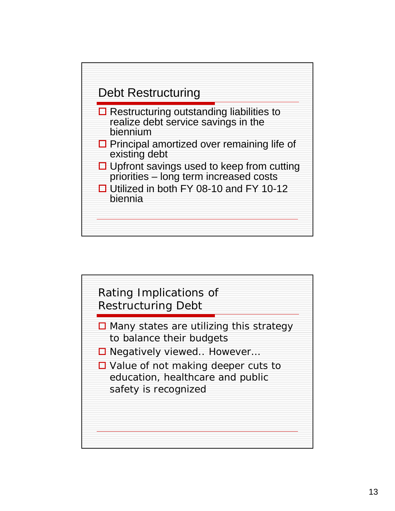